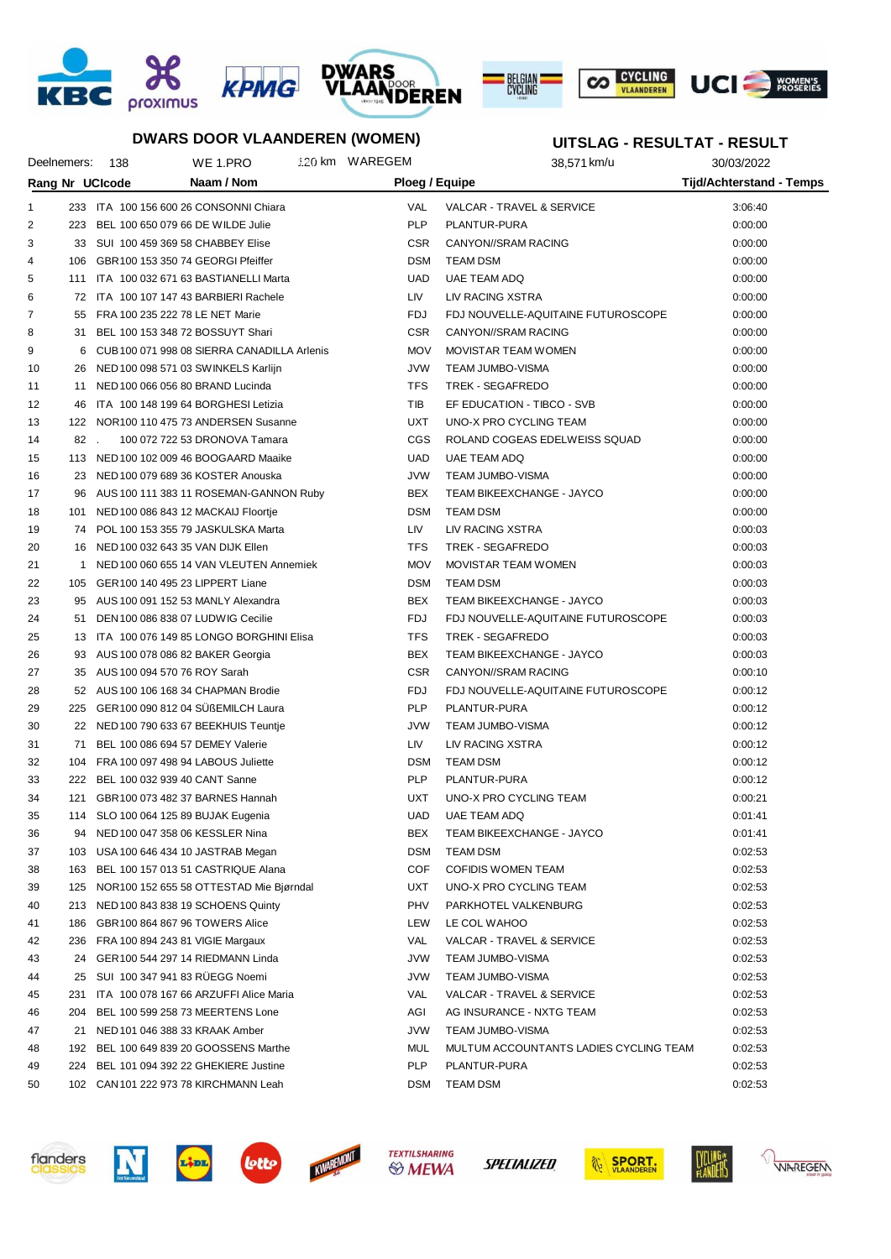









## **DWARS DOOR VLAANDEREN (WOMEN)**

# **UITSLAG - RESULTAT - RESULT**

| Deelnemers: 138                                                                    |     | WE 1.PRO                                    |  | 120 km WAREGEM | ,,,,,,,,,,,<br>$-11200$<br>38,571 km/u | ▔▗▚▙◡◡▙▗<br>30/03/2022 |
|------------------------------------------------------------------------------------|-----|---------------------------------------------|--|----------------|----------------------------------------|------------------------|
|                                                                                    |     |                                             |  |                |                                        |                        |
| Rang Nr UCIcode<br><b>Tijd/Achterstand - Temps</b><br>Naam / Nom<br>Ploeg / Equipe |     |                                             |  |                |                                        |                        |
| $\mathbf{1}$                                                                       |     | 233 ITA 100 156 600 26 CONSONNI Chiara      |  | <b>VAL</b>     | VALCAR - TRAVEL & SERVICE              | 3:06:40                |
| 2<br>223                                                                           |     | BEL 100 650 079 66 DE WILDE Julie           |  | <b>PLP</b>     | PLANTUR-PURA                           | 0:00:00                |
| 3                                                                                  |     | 33 SUI 100 459 369 58 CHABBEY Elise         |  | <b>CSR</b>     | CANYON//SRAM RACING                    | 0:00:00                |
| 4<br>106                                                                           |     | GBR100 153 350 74 GEORGI Pfeiffer           |  | <b>DSM</b>     | <b>TEAM DSM</b>                        | 0:00:00                |
| 5                                                                                  |     | 111 ITA 100 032 671 63 BASTIANELLI Marta    |  | <b>UAD</b>     | UAE TEAM ADQ                           | 0:00:00                |
| 6                                                                                  |     | 72 ITA 100 107 147 43 BARBIERI Rachele      |  | LIV            | LIV RACING XSTRA                       | 0:00:00                |
| 7                                                                                  |     | 55 FRA 100 235 222 78 LE NET Marie          |  | <b>FDJ</b>     | FDJ NOUVELLE-AQUITAINE FUTUROSCOPE     | 0:00:00                |
| 8<br>31                                                                            |     | BEL 100 153 348 72 BOSSUYT Shari            |  | <b>CSR</b>     | CANYON//SRAM RACING                    | 0:00:00                |
| 9<br>6                                                                             |     | CUB 100 071 998 08 SIERRA CANADILLA Arlenis |  | <b>MOV</b>     | <b>MOVISTAR TEAM WOMEN</b>             | 0:00:00                |
| 10<br>26                                                                           |     | NED 100 098 571 03 SWINKELS Karlijn         |  | <b>JVW</b>     | TEAM JUMBO-VISMA                       | 0:00:00                |
| 11                                                                                 |     | 11 NED 100 066 056 80 BRAND Lucinda         |  | <b>TFS</b>     | TREK - SEGAFREDO                       | 0:00:00                |
| 12<br>46                                                                           |     | ITA 100 148 199 64 BORGHESI Letizia         |  | TIB            | EF EDUCATION - TIBCO - SVB             | 0:00:00                |
| 13                                                                                 |     | 122 NOR100 110 475 73 ANDERSEN Susanne      |  | UXT            | UNO-X PRO CYCLING TEAM                 | 0:00:00                |
| 14                                                                                 | 82. | 100 072 722 53 DRONOVA Tamara               |  | <b>CGS</b>     | ROLAND COGEAS EDELWEISS SQUAD          | 0:00:00                |
| 15                                                                                 |     | 113 NED 100 102 009 46 BOOGAARD Maaike      |  | <b>UAD</b>     | UAE TEAM ADQ                           | 0:00:00                |
| 16                                                                                 |     | 23 NED 100 079 689 36 KOSTER Anouska        |  | <b>JVW</b>     | TEAM JUMBO-VISMA                       | 0:00:00                |
| 17<br>96                                                                           |     | AUS 100 111 383 11 ROSEMAN-GANNON Ruby      |  | BEX            | TEAM BIKEEXCHANGE - JAYCO              | 0:00:00                |
| 18<br>101                                                                          |     | NED 100 086 843 12 MACKAIJ Floortje         |  | <b>DSM</b>     | <b>TEAM DSM</b>                        | 0:00:00                |
| 19                                                                                 |     | 74 POL 100 153 355 79 JASKULSKA Marta       |  | LIV            | LIV RACING XSTRA                       | 0:00:03                |
| 20                                                                                 |     | 16 NED 100 032 643 35 VAN DIJK Ellen        |  | <b>TFS</b>     | TREK - SEGAFREDO                       | 0:00:03                |
| 21<br>1                                                                            |     | NED 100 060 655 14 VAN VLEUTEN Annemiek     |  | <b>MOV</b>     | MOVISTAR TEAM WOMEN                    | 0:00:03                |
| 22                                                                                 |     | 105 GER100 140 495 23 LIPPERT Liane         |  | <b>DSM</b>     | <b>TEAM DSM</b>                        | 0:00:03                |
| 23                                                                                 |     | 95 AUS 100 091 152 53 MANLY Alexandra       |  | BEX            | TEAM BIKEEXCHANGE - JAYCO              | 0:00:03                |
| 24<br>51                                                                           |     | DEN 100 086 838 07 LUDWIG Cecilie           |  | FDJ            | FDJ NOUVELLE-AQUITAINE FUTUROSCOPE     | 0:00:03                |
| 25                                                                                 |     | 13 ITA 100 076 149 85 LONGO BORGHINI Elisa  |  | <b>TFS</b>     | TREK - SEGAFREDO                       | 0:00:03                |
| 26                                                                                 |     | 93 AUS 100 078 086 82 BAKER Georgia         |  | BEX            | TEAM BIKEEXCHANGE - JAYCO              | 0:00:03                |
| 27                                                                                 |     | 35 AUS 100 094 570 76 ROY Sarah             |  | <b>CSR</b>     | CANYON//SRAM RACING                    | 0:00:10                |
| 28                                                                                 |     | 52 AUS 100 106 168 34 CHAPMAN Brodie        |  | <b>FDJ</b>     | FDJ NOUVELLE-AQUITAINE FUTUROSCOPE     | 0:00:12                |
| 29                                                                                 |     | 225 GER100 090 812 04 SÜßEMILCH Laura       |  | <b>PLP</b>     | PLANTUR-PURA                           | 0:00:12                |
| 30                                                                                 |     | 22 NED 100 790 633 67 BEEKHUIS Teuntje      |  | <b>JVW</b>     | TEAM JUMBO-VISMA                       | 0:00:12                |
| 31<br>71                                                                           |     | BEL 100 086 694 57 DEMEY Valerie            |  | LIV            | LIV RACING XSTRA                       | 0:00:12                |
| 32                                                                                 |     | 104 FRA 100 097 498 94 LABOUS Juliette      |  | <b>DSM</b>     | <b>TEAM DSM</b>                        | 0:00:12                |
| 33                                                                                 |     | 222 BEL 100 032 939 40 CANT Sanne           |  | <b>PLP</b>     | PLANTUR-PURA                           | 0:00:12                |
| 34                                                                                 |     | 121 GBR100 073 482 37 BARNES Hannah         |  | UXT            | UNO-X PRO CYCLING TEAM                 | 0:00:21                |
| 35                                                                                 |     | 114 SLO 100 064 125 89 BUJAK Eugenia        |  |                | UAD UAE TEAM ADQ                       | 0:01:41                |
| 36                                                                                 |     | 94 NED 100 047 358 06 KESSLER Nina          |  | BEX            | TEAM BIKEEXCHANGE - JAYCO              | 0:01:41                |
| 37                                                                                 |     | 103 USA 100 646 434 10 JASTRAB Megan        |  | <b>DSM</b>     | TEAM DSM                               | 0:02:53                |
| 38                                                                                 |     | 163 BEL 100 157 013 51 CASTRIQUE Alana      |  | COF            | <b>COFIDIS WOMEN TEAM</b>              | 0:02:53                |
| 39                                                                                 |     | 125 NOR100 152 655 58 OTTESTAD Mie Bjørndal |  | <b>UXT</b>     | UNO-X PRO CYCLING TEAM                 | 0:02:53                |
| 40                                                                                 |     | 213 NED 100 843 838 19 SCHOENS Quinty       |  | PHV            | PARKHOTEL VALKENBURG                   | 0:02:53                |
| 41                                                                                 |     | 186 GBR100 864 867 96 TOWERS Alice          |  | LEW            | LE COL WAHOO                           | 0:02:53                |
| 42                                                                                 |     | 236 FRA 100 894 243 81 VIGIE Margaux        |  | VAL            | VALCAR - TRAVEL & SERVICE              | 0:02:53                |
| 43                                                                                 |     | 24 GER100 544 297 14 RIEDMANN Linda         |  | <b>JVW</b>     | <b>TEAM JUMBO-VISMA</b>                | 0:02:53                |
| 25<br>44                                                                           |     | SUI 100 347 941 83 RUEGG Noemi              |  | <b>JVW</b>     | <b>TEAM JUMBO-VISMA</b>                | 0:02:53                |
| 45                                                                                 |     | 231 ITA 100 078 167 66 ARZUFFI Alice Maria  |  | VAL            | VALCAR - TRAVEL & SERVICE              | 0:02:53                |
| 204<br>46                                                                          |     | BEL 100 599 258 73 MEERTENS Lone            |  | AGI            | AG INSURANCE - NXTG TEAM               | 0:02:53                |
| 47<br>21                                                                           |     | NED 101 046 388 33 KRAAK Amber              |  | <b>JVW</b>     | <b>TEAM JUMBO-VISMA</b>                | 0:02:53                |
| 48                                                                                 |     | 192 BEL 100 649 839 20 GOOSSENS Marthe      |  | MUL            | MULTUM ACCOUNTANTS LADIES CYCLING TEAM | 0:02:53                |
| 49<br>224                                                                          |     | BEL 101 094 392 22 GHEKIERE Justine         |  | <b>PLP</b>     | PLANTUR-PURA                           | 0:02:53                |
| 50                                                                                 |     | 102 CAN 101 222 973 78 KIRCHMANN Leah       |  | <b>DSM</b>     | <b>TEAM DSM</b>                        | 0:02:53                |









**SPECIALIZED** 





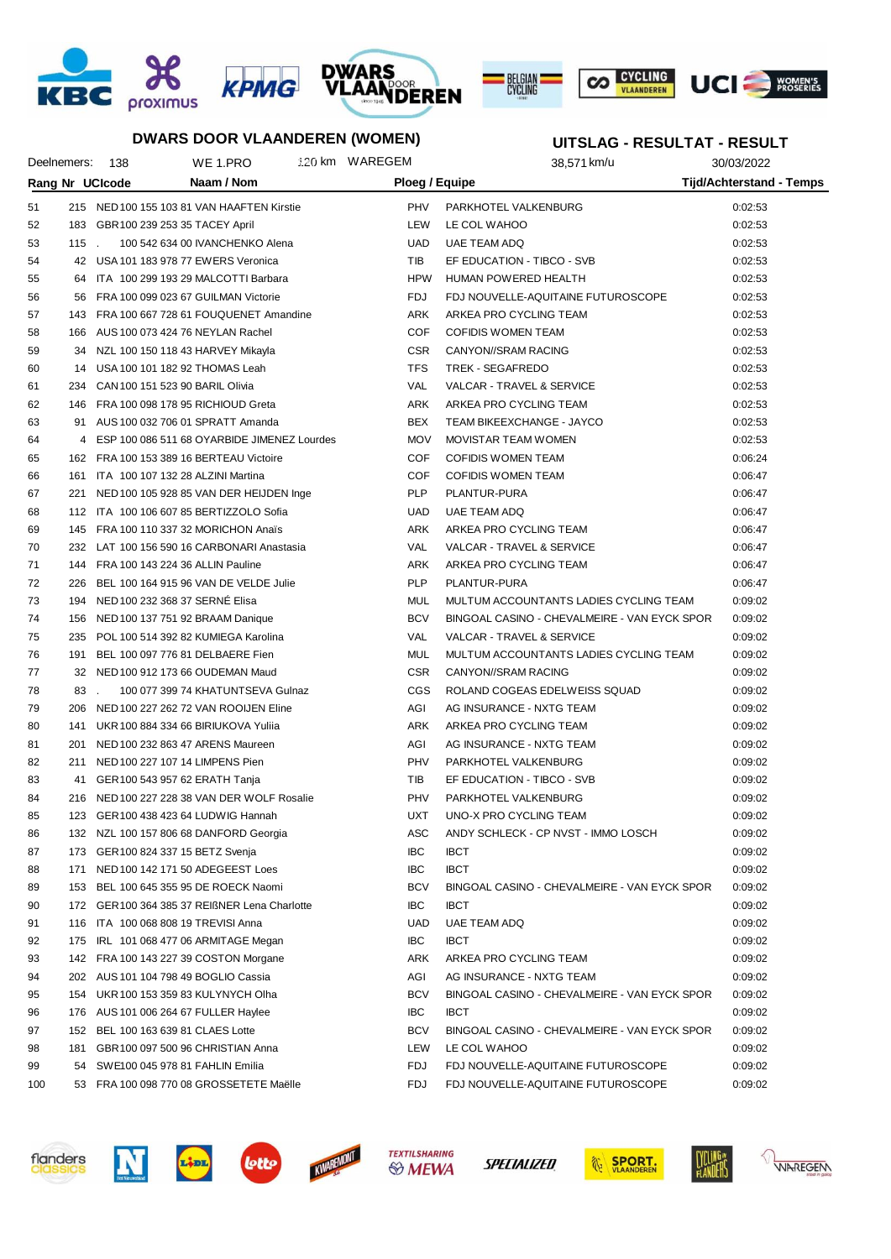









**UITSLAG - RESULTAT - RESULT**

#### **DWARS DOOR VLAANDEREN (WOMEN)**

#### Deelnemers: 138 WE 1.PRO 30.03.2022 NM WAREGEM 38,571 km/u 30/03/2022 **Rang Nr UCIcode Naam / Nom Ploeg / Equipe Tijd/Achterstand - Temps** 51 215 NED100 155 103 81 VAN HAAFTEN Kirstie PHV PARKHOTEL VALKENBURG 0:02:53 52 183 GBR100 239 253 35 TACEY April LEW LE COL WAHOO 0:02:53 53 115 . 100 542 634 00 IVANCHENKO Alena 1 10 UAD UAE TEAM ADQ 102:53 54 42 USA 101 183 978 77 EWERS Veronica TIB EF EDUCATION - TIBCO - SVB 0:02:53 55 64 ITA 100 299 193 29 MALCOTTI Barbara HEALTH HPW HUMAN POWERED HEALTH 6:02:53 56 56 FRA 100 099 023 67 GUILMAN Victorie FDJ FDJ NOUVELLE-AQUITAINE FUTUROSCOPE 0:02:53 57 143 FRA 100 667 728 61 FOUQUENET Amandine ARK ARKEA PRO CYCLING TEAM 0:02:53 58 166 AUS 100 073 424 76 NEYLAN Rachel COF COFIDIS WOMEN TEAM 0:02:53 59 34 NZL 100 150 118 43 HARVEY Mikayla CSR CANYON//SRAM RACING 0:02:53 60 14 USA 100 101 182 92 THOMAS Leah TFS TREK - SEGAFREDO 0:02:53 61 234 CAN100 151 523 90 BARIL Olivia VAL VALCAR - TRAVEL & SERVICE 0:02:53 62 146 FRA 100 098 178 95 RICHIOUD Greta ARK ARKEA PRO CYCLING TEAM 0:02:53 63 91 AUS 100 032 706 01 SPRATT Amanda BEX TEAM BIKEEXCHANGE - JAYCO 0:02:53 64 4 ESP 100 086 511 68 OYARBIDE JIMENEZ Lourdes MOV MOVISTAR TEAM WOMEN 0:02:53 65 162 FRA 100 153 389 16 BERTEAU Victoire COF COFIDIS WOMEN TEAM 0:06:24 66 161 ITA 100 107 132 28 ALZINI Martina COF COFIDIS WOMEN TEAM 0:06:47 67 221 NED100 105 928 85 VAN DER HEIJDEN Inge PLP PLANTUR-PURA 0:06:47 68 112 ITA 100 106 607 85 BERTIZZOLO Sofia UAD UAE TEAM ADQ 0:06:47 69 145 FRA 100 110 337 32 MORICHON Anaïs ARK ARKEA PRO CYCLING TEAM 0:06:47 70 232 LAT 100 156 590 16 CARBONARI Anastasia VAL VALCAR - TRAVEL & SERVICE 0:06:47 71 144 FRA 100 143 224 36 ALLIN Pauline ARK ARKEA PRO CYCLING TEAM 0:06:47 72 226 BEL 100 164 915 96 VAN DE VELDE Julie PLP PLANTUR-PURA 0:06:47 73 194 NED100 232 368 37 SERNÉ Elisa MUL MULTUM ACCOUNTANTS LADIES CYCLING TEAM 0:09:02 74 156 NED100 137 751 92 BRAAM Danique BCV BINGOAL CASINO - CHEVALMEIRE - VAN EYCK SPOR 0:09:02 75 235 POL 100 514 392 82 KUMIEGA Karolina VAL VALCAR - TRAVEL & SERVICE 0:09:02 76 191 BEL 100 097 776 81 DELBAERE Fien MUL MULTUM ACCOUNTANTS LADIES CYCLING TEAM 0:09:02 77 32 NED100 912 173 66 OUDEMAN Maud CSR CANYON//SRAM RACING 0:09:02 78 83 . 100 077 399 74 KHATUNTSEVA Gulnaz CGS ROLAND COGEAS EDELWEISS SQUAD 0:09:02 79 206 NED100 227 262 72 VAN ROOIJEN Eline AGI AG INSURANCE - NXTG TEAM 0:09:02 80 141 UKR 100 884 334 66 BIRIUKOVA Yuliia ARK ARKEA PRO CYCLING TEAM 0:09:02 81 201 NED 100 232 863 47 ARENS Maureen AGI AGI AG INSURANCE - NXTG TEAM 0:09:02 82 211 NED100 227 107 14 LIMPENS Pien PHY PARKHOTEL VALKENBURG 2010 2010 0:09:02 83 41 GER100 543 957 62 ERATH Tanja **TIB EF EDUCATION - TIBCO - SVB** 0:09:02 84 216 NED100 227 228 38 VAN DER WOLF Rosalie PHV PARKHOTEL VALKENBURG CORO 20202 85 123 GER100 438 423 64 LUDWIG Hannah UXT UNO-X PRO CYCLING TEAM 0:09:02 86 132 NZL 100 157 806 68 DANFORD Georgia ASC ANDY SCHLECK - CP NVST - IMMO LOSCH 0:09:02 87 173 GER100 824 337 15 BETZ Svenja IBC IBCT 0:09:02 88 171 NED 100 142 171 50 ADEGEEST Loes IBC IBCT IBCT 171 NED 100 109:02 89 153 BEL 100 645 355 95 DE ROECK Naomi BCV BINGOAL CASINO - CHEVALMEIRE - VAN EYCK SPOR 0:09:02 90 172 GER100 364 385 37 REIßNER Lena Charlotte IBC IBCT IBC IBCT 1999 02 09:02:02 91 116 ITA 100 068 808 19 TREVISI Anna 100 000 1000 1000 UAE TEAM ADQ 109:02 116 1TA 100 0:09:02 92 175 IRL 101 068 477 06 ARMITAGE Megan IBC IBCT IBCT 175 IRL 101 068 477 06 ARMITAGE Megan 93 142 FRA 100 143 227 39 COSTON Morgane ARK ARKEA PRO CYCLING TEAM 0:09:02 94 202 AUS 101 104 798 49 BOGLIO Cassia AGI AG INSURANCE - NXTG TEAM 0:09:02 95 154 UKR100 153 359 83 KULYNYCH Olha BCV BINGOAL CASINO - CHEVALMEIRE - VAN EYCK SPOR 0:09:02 96 176 AUS 101 006 264 67 FULLER Haylee IBC IBCT IBCT 176 AUS 10:09:02

- 97 152 BEL 100 163 639 81 CLAES Lotte BCOM BCV BINGOAL CASINO CHEVALMEIRE VAN EYCK SPOR 0:09:02 98 181 GBR100 097 500 96 CHRISTIAN Anna LEW LE COL WAHOO 0:09:02 99 54 SWE100 045 978 81 FAHLIN Emilia FUTUROSCOPE 6:09:02 100 53 FRA 100 098 770 08 GROSSETETE Maëlle FDJ FDJ FDJ FDJ NOUVELLE-AQUITAINE FUTUROSCOPE 0:09:02
- flanders







SPECIALIZED